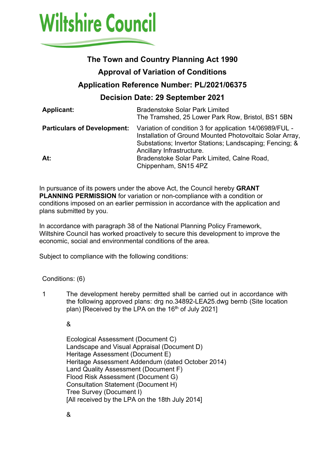

# **The Town and Country Planning Act 1990**

### **Approval of Variation of Conditions**

# **Application Reference Number: PL/2021/06375**

## **Decision Date: 29 September 2021**

| <b>Applicant:</b>                  | <b>Bradenstoke Solar Park Limited</b><br>The Tramshed, 25 Lower Park Row, Bristol, BS1 5BN                                                                                                                  |
|------------------------------------|-------------------------------------------------------------------------------------------------------------------------------------------------------------------------------------------------------------|
| <b>Particulars of Development:</b> | Variation of condition 3 for application 14/06989/FUL -<br>Installation of Ground Mounted Photovoltaic Solar Array,<br>Substations; Invertor Stations; Landscaping; Fencing; &<br>Ancillary Infrastructure. |
| At:                                | Bradenstoke Solar Park Limited, Calne Road,<br>Chippenham, SN15 4PZ                                                                                                                                         |

In pursuance of its powers under the above Act, the Council hereby **GRANT PLANNING PERMISSION** for variation or non-compliance with a condition or conditions imposed on an earlier permission in accordance with the application and plans submitted by you.

In accordance with paragraph 38 of the National Planning Policy Framework, Wiltshire Council has worked proactively to secure this development to improve the economic, social and environmental conditions of the area.

Subject to compliance with the following conditions:

#### Conditions: (6)

1 The development hereby permitted shall be carried out in accordance with the following approved plans: drg no.34892-LEA25.dwg bernb (Site location plan) [Received by the LPA on the 16<sup>th</sup> of July 2021]

&

Ecological Assessment (Document C) Landscape and Visual Appraisal (Document D) Heritage Assessment (Document E) Heritage Assessment Addendum (dated October 2014) Land Quality Assessment (Document F) Flood Risk Assessment (Document G) Consultation Statement (Document H) Tree Survey (Document I) [All received by the LPA on the 18th July 2014]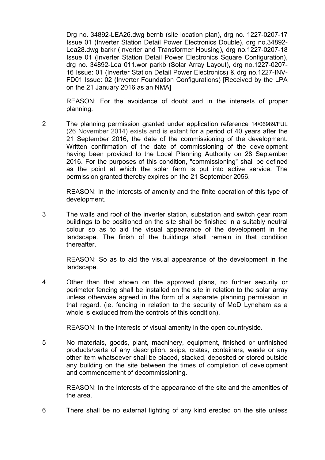Drg no. 34892-LEA26.dwg bernb (site location plan), drg no. 1227-0207-17 Issue 01 (Inverter Station Detail Power Electronics Double), drg no.34892- Lea28.dwg barkr (Inverter and Transformer Housing), drg no.1227-0207-18 Issue 01 (Inverter Station Detail Power Electronics Square Configuration), drg no. 34892-Lea 011.wor parkb (Solar Array Layout), drg no.1227-0207- 16 Issue: 01 (Inverter Station Detail Power Electronics) & drg no.1227-INV-FD01 Issue: 02 (Inverter Foundation Configurations) [Received by the LPA on the 21 January 2016 as an NMA]

REASON: For the avoidance of doubt and in the interests of proper planning.

2 The planning permission granted under application reference 14/06989/FUL (26 November 2014) exists and is extant for a period of 40 years after the 21 September 2016, the date of the commissioning of the development. Written confirmation of the date of commissioning of the development having been provided to the Local Planning Authority on 28 September 2016. For the purposes of this condition, "commissioning" shall be defined as the point at which the solar farm is put into active service. The permission granted thereby expires on the 21 September 2056.

REASON: In the interests of amenity and the finite operation of this type of development.

3 The walls and roof of the inverter station, substation and switch gear room buildings to be positioned on the site shall be finished in a suitably neutral colour so as to aid the visual appearance of the development in the landscape. The finish of the buildings shall remain in that condition thereafter.

REASON: So as to aid the visual appearance of the development in the landscape.

4 Other than that shown on the approved plans, no further security or perimeter fencing shall be installed on the site in relation to the solar array unless otherwise agreed in the form of a separate planning permission in that regard. (ie. fencing in relation to the security of MoD Lyneham as a whole is excluded from the controls of this condition).

REASON: In the interests of visual amenity in the open countryside.

5 No materials, goods, plant, machinery, equipment, finished or unfinished products/parts of any description, skips, crates, containers, waste or any other item whatsoever shall be placed, stacked, deposited or stored outside any building on the site between the times of completion of development and commencement of decommissioning.

REASON: In the interests of the appearance of the site and the amenities of the area.

6 There shall be no external lighting of any kind erected on the site unless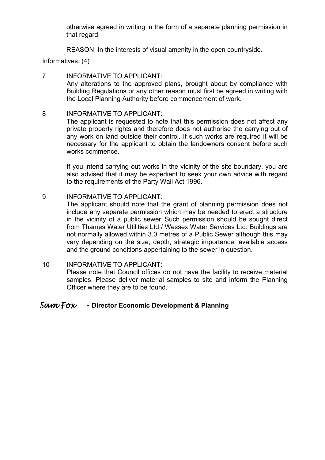otherwise agreed in writing in the form of a separate planning permission in that regard.

REASON: In the interests of visual amenity in the open countryside.

Informatives: (4)

- 7 INFORMATIVE TO APPLICANT: Any alterations to the approved plans, brought about by compliance with Building Regulations or any other reason must first be agreed in writing with the Local Planning Authority before commencement of work.
- 8 INFORMATIVE TO APPLICANT:

The applicant is requested to note that this permission does not affect any private property rights and therefore does not authorise the carrying out of any work on land outside their control. If such works are required it will be necessary for the applicant to obtain the landowners consent before such works commence.

If you intend carrying out works in the vicinity of the site boundary, you are also advised that it may be expedient to seek your own advice with regard to the requirements of the Party Wall Act 1996.

9 INFORMATIVE TO APPLICANT:

The applicant should note that the grant of planning permission does not include any separate permission which may be needed to erect a structure in the vicinity of a public sewer. Such permission should be sought direct from Thames Water Utilities Ltd / Wessex Water Services Ltd. Buildings are not normally allowed within 3.0 metres of a Public Sewer although this may vary depending on the size, depth, strategic importance, available access and the ground conditions appertaining to the sewer in question.

10 INFORMATIVE TO APPLICANT: Please note that Council offices do not have the facility to receive material samples. Please deliver material samples to site and inform the Planning Officer where they are to be found.

#### *Sam Fox -* **Director Economic Development & Planning**